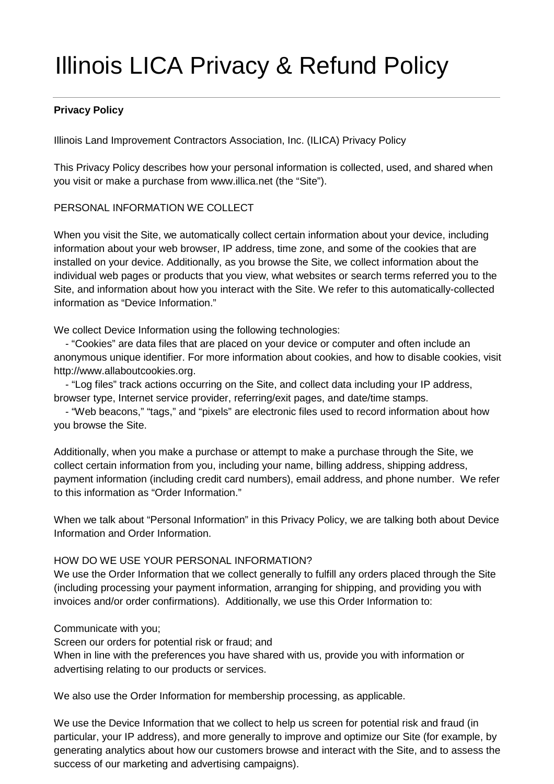# Illinois LICA Privacy & Refund Policy

# **Privacy Policy**

Illinois Land Improvement Contractors Association, Inc. (ILICA) Privacy Policy

This Privacy Policy describes how your personal information is collected, used, and shared when you visit or make a purchase from www.illica.net (the "Site").

# PERSONAL INFORMATION WE COLLECT

When you visit the Site, we automatically collect certain information about your device, including information about your web browser, IP address, time zone, and some of the cookies that are installed on your device. Additionally, as you browse the Site, we collect information about the individual web pages or products that you view, what websites or search terms referred you to the Site, and information about how you interact with the Site. We refer to this automatically-collected information as "Device Information."

We collect Device Information using the following technologies:

 - "Cookies" are data files that are placed on your device or computer and often include an anonymous unique identifier. For more information about cookies, and how to disable cookies, visit http://www.allaboutcookies.org.

 - "Log files" track actions occurring on the Site, and collect data including your IP address, browser type, Internet service provider, referring/exit pages, and date/time stamps.

 - "Web beacons," "tags," and "pixels" are electronic files used to record information about how you browse the Site.

Additionally, when you make a purchase or attempt to make a purchase through the Site, we collect certain information from you, including your name, billing address, shipping address, payment information (including credit card numbers), email address, and phone number. We refer to this information as "Order Information."

When we talk about "Personal Information" in this Privacy Policy, we are talking both about Device Information and Order Information.

## HOW DO WE USE YOUR PERSONAL INFORMATION?

We use the Order Information that we collect generally to fulfill any orders placed through the Site (including processing your payment information, arranging for shipping, and providing you with invoices and/or order confirmations). Additionally, we use this Order Information to:

## Communicate with you;

Screen our orders for potential risk or fraud; and When in line with the preferences you have shared with us, provide you with information or advertising relating to our products or services.

We also use the Order Information for membership processing, as applicable.

We use the Device Information that we collect to help us screen for potential risk and fraud (in particular, your IP address), and more generally to improve and optimize our Site (for example, by generating analytics about how our customers browse and interact with the Site, and to assess the success of our marketing and advertising campaigns).